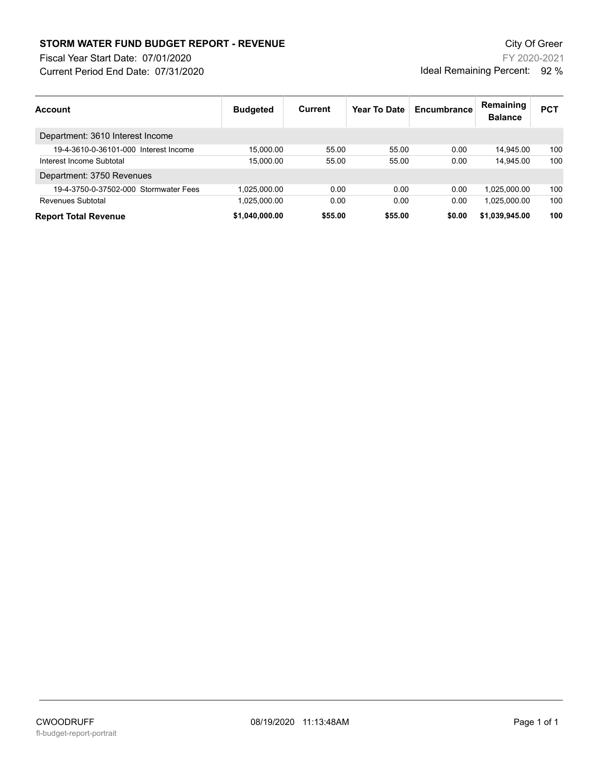## **STORM WATER FUND BUDGET REPORT - REVENUE City Of Green** City Of Green

Fiscal Year Start Date: 07/01/2020

Current Period End Date: 07/31/2020

FY 2020-2021 Ideal Remaining Percent: 92 %

| <b>Account</b>                        | <b>Budgeted</b> | Current | Year To Date | Encumbrance | Remaining<br><b>Balance</b> | <b>PCT</b> |
|---------------------------------------|-----------------|---------|--------------|-------------|-----------------------------|------------|
| Department: 3610 Interest Income      |                 |         |              |             |                             |            |
| 19-4-3610-0-36101-000 Interest Income | 15.000.00       | 55.00   | 55.00        | 0.00        | 14.945.00                   | 100        |
| Interest Income Subtotal              | 15.000.00       | 55.00   | 55.00        | 0.00        | 14.945.00                   | 100        |
| Department: 3750 Revenues             |                 |         |              |             |                             |            |
| 19-4-3750-0-37502-000 Stormwater Fees | 1.025.000.00    | 0.00    | 0.00         | 0.00        | 1.025.000.00                | 100        |
| Revenues Subtotal                     | 1,025,000.00    | 0.00    | 0.00         | 0.00        | 1.025.000.00                | 100        |
| <b>Report Total Revenue</b>           | \$1.040.000.00  | \$55.00 | \$55.00      | \$0.00      | \$1.039.945.00              | 100        |